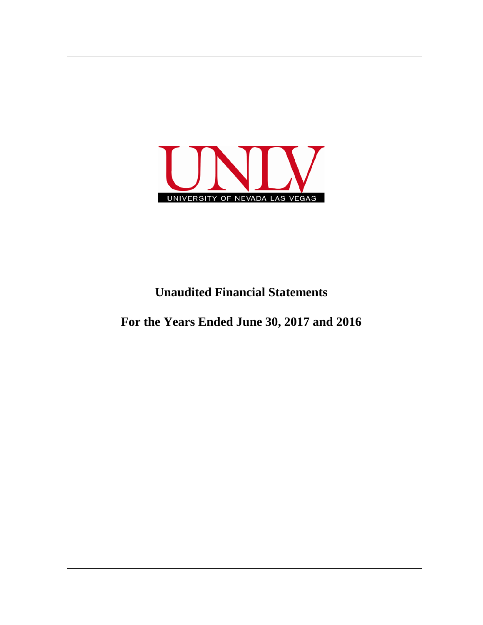

## **Unaudited Financial Statements**

**For the Years Ended June 30, 2017 and 2016**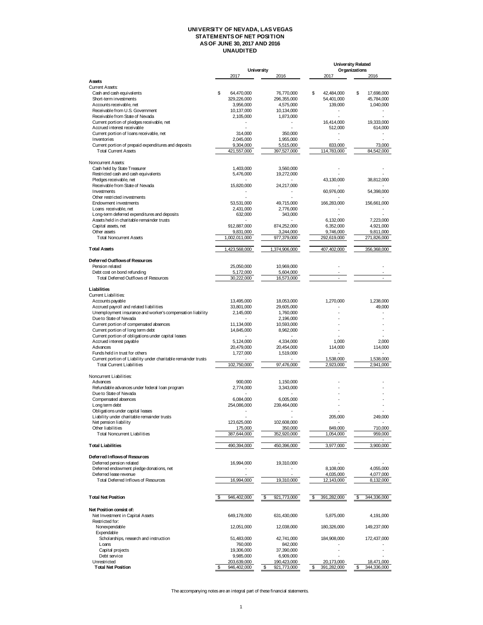## **UNIVERSITY OF NEVADA, LAS VEGAS STATEMENTS OF NET POSITION AS OF JUNE 30, 2017 AND 2016 UNAUDITED**

|                                                                |                          |                         |                   | <b>University Related</b> |
|----------------------------------------------------------------|--------------------------|-------------------------|-------------------|---------------------------|
|                                                                |                          | University              |                   | Organizations             |
| Astets                                                         | 2017                     | 2016                    | 2017              | 2016                      |
| <b>Current Assets:</b>                                         |                          |                         |                   |                           |
| Cash and cash equivalents                                      | \$<br>64,470,000         | 76,770,000              | \$<br>42,484,000  | \$<br>17,698,000          |
| Short-term investments                                         | 329,226,000              | 296,355,000             | 54,401,000        | 45,784,000                |
| Accounts receivable, net                                       | 3,956,000                | 4,575,000               | 139,000           | 1,040,000                 |
| Receivable from U.S. Government                                | 10,137,000               | 10,134,000              |                   |                           |
| Receivable from State of Nevada                                | 2,105,000                | 1,873,000               |                   |                           |
| Current portion of pledges receivable, net                     |                          |                         | 16,414,000        | 19,333,000                |
| Accrued interest receivable                                    |                          |                         | 512,000           | 614,000                   |
| Current portion of Ioans receivable, net                       | 314,000                  | 350,000                 |                   |                           |
| Inventories                                                    | 2,045,000                | 1,955,000               |                   |                           |
| Current portion of prepaid expenditures and deposits           | 9,304,000                | 5,515,000               | 833,000           | 73,000                    |
| <b>Total Current Assets</b>                                    | 421,557,000              | 397,527,000             | 114,783,000       | 84,542,000                |
|                                                                |                          |                         |                   |                           |
| Noncurrent Assets:                                             |                          |                         |                   |                           |
| Cash held by State Treasurer                                   | 1,403,000                | 3,560,000               |                   |                           |
| Restricted cash and cash equivalents                           | 5,476,000                | 19,272,000              |                   |                           |
| Pledges receivable, net                                        |                          |                         | 43,130,000        | 38,812,000                |
| Receivable from State of Nevada                                | 15,820,000               | 24,217,000              |                   |                           |
| Investments                                                    |                          |                         | 60,976,000        | 54,398,000                |
| Other restricted investments<br>Endowment investments          |                          |                         |                   |                           |
| Loans receivable, net                                          | 53,531,000<br>2,431,000  | 49,715,000<br>2,776,000 | 166,283,000       | 156,661,000               |
| Long-term deferred expenditures and deposits                   | 632,000                  | 343,000                 |                   |                           |
| Assets held in charitable remainder trusts                     |                          |                         | 6,132,000         | 7,223,000                 |
| Capital assets, net                                            | 912,887,000              | 874,252,000             | 6,352,000         | 4,921,000                 |
| Other assets                                                   | 9.831.000                | 3,244,000               | 9.746.000         | 9.811.000                 |
| <b>Total Noncurrent Assets</b>                                 | 1,002,011,000            | 977,379,000             | 292,619,000       | 271,826,000               |
|                                                                |                          |                         |                   |                           |
| <b>Total Assets</b>                                            | 1,423,568,000            | 1,374,906,000           | 407,402,000       | 356,368,000               |
|                                                                |                          |                         |                   |                           |
| Deferred Outflows of Resources                                 |                          |                         |                   |                           |
| Pension related                                                | 25,050,000               | 10,969,000              |                   |                           |
| Debt cost on bond refunding                                    | 5,172,000                | 5,604,000               |                   |                           |
| Total Deferred Outflows of Resources                           | 30,222,000               | 16,573,000              | ÷.                | ä,                        |
|                                                                |                          |                         |                   |                           |
| Liabilities                                                    |                          |                         |                   |                           |
| Current Liabilities:                                           |                          |                         |                   |                           |
| Accounts payable                                               | 13,495,000               | 18,053,000              | 1,270,000         | 1,238,000                 |
| Accrued payroll and related liabilities                        | 33,801,000               | 29,605,000              |                   | 49,000                    |
| Unemployment insurance and worker's compensation liability     | 2,145,000                | 1,760,000               |                   |                           |
| Due to State of Nevada                                         | $\blacksquare$           | 2,196,000               |                   |                           |
| Current portion of compensated absences                        | 11,134,000               | 10,593,000              |                   |                           |
| Current portion of long term debt                              | 14,845,000               | 8,962,000               |                   |                           |
| Current portion of obligations under capital leases            |                          |                         |                   |                           |
| Accrued interest payable                                       | 5,124,000                | 4,334,000               | 1,000             | 2,000                     |
| Advances                                                       | 20,479,000               | 20,454,000              | 114,000           | 114,000                   |
| Funds held in trust for others                                 | 1,727,000                | 1,519,000               |                   |                           |
| Current portion of Liability under charitable remainder trusts |                          |                         | 1,538,000         | 1,538,000                 |
| <b>Total Current Liabilities</b>                               | 102,750,000              | 97,476,000              | 2,923,000         | 2,941,000                 |
| Noncurrent Liabilities:                                        |                          |                         |                   |                           |
| Advances                                                       | 900,000                  | 1,150,000               |                   |                           |
| Refundable advances under federal Ioan program                 | 2,774,000                | 3,343,000               |                   |                           |
| Due to State of Nevada                                         | $\overline{\phantom{a}}$ |                         |                   |                           |
| Compensated absences                                           | 6,084,000                | 6,005,000               |                   |                           |
| Long term debt                                                 | 254,086,000              | 239,464,000             |                   |                           |
| Obligations under capital leases                               | ÷,                       |                         |                   |                           |
| Liability under charitable remainder trusts                    |                          |                         | 205,000           | 249,000                   |
| Net pension liability                                          | 123,625,000              | 102,608,000             |                   |                           |
| Other liabilities                                              | 175,000                  | 350,000                 | 849,000           | 710,000                   |
| <b>Total Noncurrent Liabilities</b>                            | 387,644,000              | 352,920,000             | 1,054,000         | 959,000                   |
|                                                                |                          |                         |                   |                           |
| <b>Total Liabilities</b>                                       | 490,394,000              | 450,396,000             | 3,977,000         | 3,900,000                 |
|                                                                |                          |                         |                   |                           |
| Deferred Inflows of Resources                                  |                          |                         |                   |                           |
| Deferred pension related                                       | 16,994,000               | 19,310,000              |                   |                           |
| Deferred endowment pledge donations, net                       |                          |                         | 8,108,000         | 4,055,000                 |
| Deferred lease revenue                                         |                          |                         | 4,035,000         | 4,077,000                 |
| Total Deferred Inflows of Resources                            | 16,994,000               | 19,310,000              | 12,143,000        | 8,132,000                 |
|                                                                |                          |                         |                   |                           |
|                                                                |                          |                         |                   |                           |
| <b>Total Net Position</b>                                      | 946,402,000              | 921,773,000             | 391,282,000       | 344,336,000<br>\$         |
|                                                                |                          |                         |                   |                           |
| Net Position consist of:                                       |                          |                         |                   |                           |
| Net Investment in Capital Assets                               | 649,178,000              | 631,430,000             | 5,875,000         | 4,191,000                 |
| Restricted for:                                                |                          |                         |                   |                           |
| Nonexpendable                                                  | 12,051,000               | 12,038,000              | 180,326,000       | 149,237,000               |
| <b>Expendable</b>                                              |                          |                         |                   |                           |
| Scholarships, research and instruction                         | 51,483,000               | 42,741,000              | 184,908,000       | 172,437,000               |
| Loans                                                          | 760,000                  | 842,000                 |                   |                           |
| Capital projects                                               | 19,306,000               | 37,390,000              |                   |                           |
| Debt service                                                   | 9,985,000                | 6,909,000               |                   |                           |
| Unrestricted                                                   | 203,639,000              | 190,423,000             | 20,173,000        | 18,471,000                |
| <b>Total Net Position</b>                                      | 946,402,000<br>\$        | 921,773,000<br>\$       | 391,282,000<br>\$ | 344,336,000<br>\$         |

The accompanying notes are an integral part of these financial statements.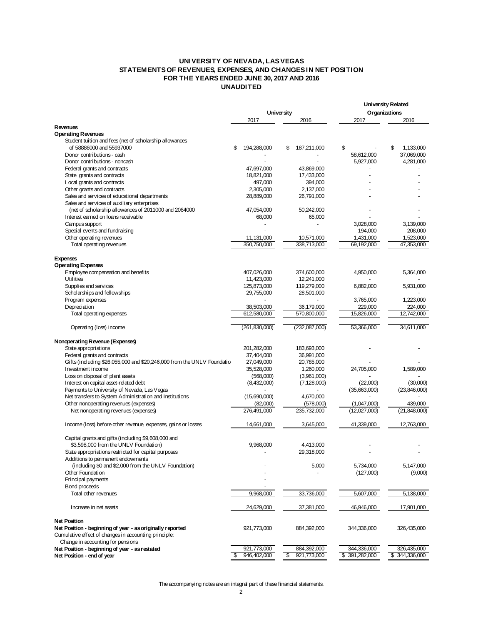## **UNIVERSITY OF NEVADA, LAS VEGAS STATEMENTS OF REVENUES, EXPENSES, AND CHANGES IN NET POSITION FOR THE YEARS ENDED JUNE 30, 2017 AND 2016 UNAUDITED**

|                                                                        |                   |                   | <b>University Related</b> |                |
|------------------------------------------------------------------------|-------------------|-------------------|---------------------------|----------------|
|                                                                        |                   | University        | Organizations             |                |
|                                                                        | 2017              | 2016              | 2017                      | 2016           |
| Revenues                                                               |                   |                   |                           |                |
| <b>Operating Revenues</b>                                              |                   |                   |                           |                |
| Student tuition and fees (net of scholarship allowances                |                   |                   |                           |                |
| of 58886000 and 55937000                                               | \$<br>194,288,000 | 187,211,000<br>\$ | \$                        | 1,133,000<br>S |
| Donor contributions - cash                                             |                   |                   | 58,612,000                | 37,069,000     |
| Donor contributions - noncash                                          |                   |                   | 5,927,000                 | 4,281,000      |
| Federal grants and contracts                                           | 47,697,000        | 43,869,000        |                           |                |
| State grants and contracts                                             | 18,821,000        | 17,433,000        |                           |                |
| Local grants and contracts                                             | 497,000           | 394,000           |                           |                |
| Other grants and contracts                                             | 2,305,000         | 2,137,000         |                           |                |
| Sales and services of educational departments                          | 28,889,000        | 26,791,000        |                           |                |
| Sales and services of auxiliary enterprises                            |                   |                   |                           |                |
| (net of scholarship allowances of 2011000 and 2064000                  | 47,054,000        | 50,242,000        |                           |                |
| Interest earned on loans receivable                                    | 68,000            | 65,000            |                           |                |
| Campus support                                                         |                   |                   | 3,028,000                 | 3,139,000      |
| Special events and fundraising                                         |                   |                   | 194,000                   | 208,000        |
| Other operating revenues                                               | 11,131,000        | 10,571,000        | 1,431,000                 | 1,523,000      |
| Total operating revenues                                               | 350,750,000       | 338,713,000       | 69,192,000                | 47,353,000     |
|                                                                        |                   |                   |                           |                |
| <b>Expenses</b>                                                        |                   |                   |                           |                |
| <b>Operating Expenses</b>                                              |                   |                   |                           |                |
| Employee compensation and benefits                                     | 407,026,000       | 374,600,000       | 4,950,000                 | 5,364,000      |
| Utilities                                                              | 11,423,000        | 12,241,000        |                           |                |
| Supplies and services                                                  | 125,873,000       | 119,279,000       | 6,882,000                 | 5,931,000      |
| Scholarships and fellowships                                           | 29,755,000        | 28,501,000        |                           |                |
| Program expenses                                                       |                   |                   | 3,765,000                 | 1,223,000      |
| Depreciation                                                           | 38,503,000        | 36,179,000        | 229,000                   | 224,000        |
| Total operating expenses                                               | 612,580,000       | 570,800,000       | 15,826,000                | 12,742,000     |
|                                                                        |                   |                   |                           |                |
| Operating (loss) income                                                | (261, 830, 000)   | (232,087,000)     | 53,366,000                | 34,611,000     |
|                                                                        |                   |                   |                           |                |
| Nonoperating Revenue (Expenses)                                        |                   |                   |                           |                |
| State appropriations                                                   | 201,282,000       | 183,693,000       |                           |                |
|                                                                        |                   |                   |                           |                |
| Federal grants and contracts                                           | 37,404,000        | 36,991,000        |                           |                |
| Gifts (including \$26,055,000 and \$20,246,000 from the UNLV Foundatio | 27,049,000        | 20,785,000        |                           |                |
| Investment income                                                      | 35,528,000        | 1,260,000         | 24,705,000                | 1,589,000      |
| Loss on disposal of plant assets                                       | (568,000)         | (3,961,000)       |                           |                |
| Interest on capital asset-related debt                                 | (8,432,000)       | (7, 128, 000)     | (22,000)                  | (30,000)       |
| Payments to University of Nevada, Las Vegas                            |                   |                   | (35,663,000)              | (23, 846, 000) |
| Net transfers to System Administration and Institutions                | (15,690,000)      | 4,670,000         |                           |                |
| Other nonoperating revenues (expenses)                                 | (82,000)          | (578,000)         | (1,047,000)               | 439,000        |
| Net nonoperating revenues (expenses)                                   | 276,491,000       | 235,732,000       | (12,027,000)              | (21, 848, 000) |
|                                                                        |                   |                   |                           |                |
| Income (loss) before other revenue, expenses, gains or losses          | 14,661,000        | 3,645,000         | 41,339,000                | 12.763.000     |
|                                                                        |                   |                   |                           |                |
| Capital grants and gifts (including \$9,608,000 and                    |                   |                   |                           |                |
| \$3,598,000 from the UNLV Foundation)                                  | 9,968,000         | 4,413,000         |                           |                |
| State appropriations restricted for capital purposes                   |                   | 29,318,000        |                           |                |
| Additions to permanent endowments                                      |                   |                   |                           |                |
| (including \$0 and \$2,000 from the UNLV Foundation)                   |                   | 5,000             | 5,734,000                 | 5,147,000      |
| Other Foundation                                                       |                   |                   | (127,000)                 | (9,000)        |
| Principal payments                                                     |                   |                   |                           |                |
| <b>Bond proceeds</b>                                                   |                   |                   |                           |                |
| Total other revenues                                                   | 9,968,000         | 33,736,000        | 5,607,000                 | 5,138,000      |
|                                                                        |                   |                   |                           |                |
| Increase in net assets                                                 | 24,629,000        | 37,381,000        | 46,946,000                | 17,901,000     |
|                                                                        |                   |                   |                           |                |
| <b>Net Position</b>                                                    |                   |                   |                           |                |
| Net Position - beginning of year - as originally reported              | 921,773,000       | 884,392,000       | 344,336,000               | 326,435,000    |
| Cumulative effect of changes in accounting principle:                  |                   |                   |                           |                |
| Change in accounting for pensions                                      |                   |                   |                           |                |
| Net Position - beginning of year - as restated                         | 921,773,000       | 884,392,000       | 344,336,000               | 326,435,000    |
| Net Position - end of year                                             | \$<br>946,402,000 | \$<br>921,773,000 | \$391,282,000             | \$344,336,000  |

The accompanying notes are an integral part of these financial statements.